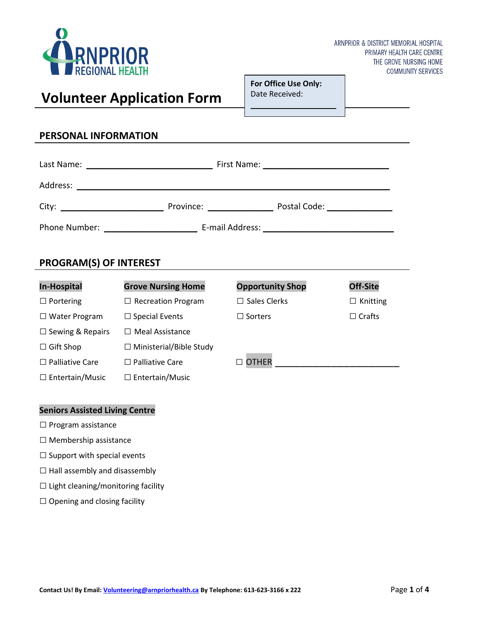

ARNPRIOR & DISTRICT MEMORIAL HOSPITAL PRIMARY HEALTH CARE CENTRE THE GROVE NURSING HOME **COMMUNITY SERVICES** 

# **Volunteer Application Form**

**For Office Use Only:** Date Received:

 $\frac{1}{2}$ 

\_\_\_\_\_\_\_\_\_\_\_\_\_\_\_\_\_\_\_\_

Health Appraisal Form:

## **PERSONAL INFORMATION**

| <b>PROGRAM(S) OF INTEREST</b> |                                |                         |                 |  |  |  |  |  |
|-------------------------------|--------------------------------|-------------------------|-----------------|--|--|--|--|--|
| <b>In-Hospital</b>            | <b>Grove Nursing Home</b>      | <b>Opportunity Shop</b> | <b>Off-Site</b> |  |  |  |  |  |
| $\Box$ Portering              | $\Box$ Recreation Program      | $\Box$ Sales Clerks     | $\Box$ Knitting |  |  |  |  |  |
| $\Box$ Water Program          | $\Box$ Special Events          | $\Box$ Sorters          | $\Box$ Crafts   |  |  |  |  |  |
| $\Box$ Sewing & Repairs       | $\Box$ Meal Assistance         |                         |                 |  |  |  |  |  |
| $\Box$ Gift Shop              | $\Box$ Ministerial/Bible Study |                         |                 |  |  |  |  |  |
| <b>Palliative Care</b>        | $\Box$ Palliative Care         |                         |                 |  |  |  |  |  |
| $\Box$ Entertain/Music        | $\Box$ Entertain/Music         |                         |                 |  |  |  |  |  |

#### **Seniors Assisted Living Centre**

- □ Program assistance
- □ Membership assistance
- $\square$  Support with special events
- $\square$  Hall assembly and disassembly
- $\square$  Light cleaning/monitoring facility
- $\square$  Opening and closing facility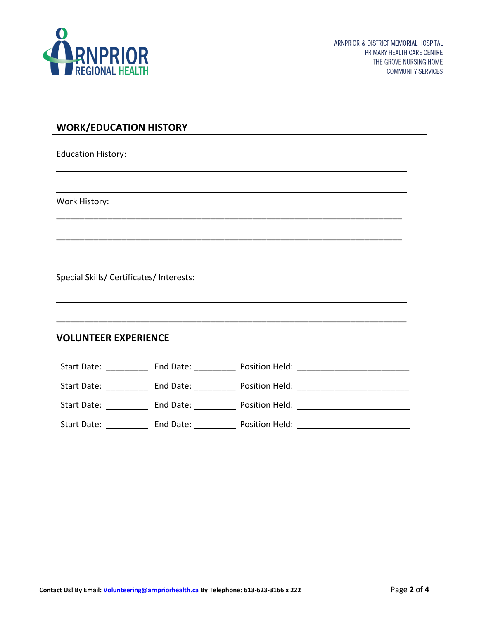

# **WORK/EDUCATION HISTORY**

Education History:

Work History:

Special Skills/ Certificates/ Interests:

## **VOLUNTEER EXPERIENCE**

| Start Date: | End Date: | Position Held: |
|-------------|-----------|----------------|
| Start Date: | End Date: | Position Held: |
| Start Date: | End Date: | Position Held: |
| Start Date: | End Date: | Position Held: |

 $\mathcal{L}_\text{max}$  and  $\mathcal{L}_\text{max}$  and  $\mathcal{L}_\text{max}$  and  $\mathcal{L}_\text{max}$  and  $\mathcal{L}_\text{max}$  and  $\mathcal{L}_\text{max}$ 

 $\mathcal{L}_\text{max}$  and  $\mathcal{L}_\text{max}$  and  $\mathcal{L}_\text{max}$  and  $\mathcal{L}_\text{max}$  and  $\mathcal{L}_\text{max}$  and  $\mathcal{L}_\text{max}$ 

 $\mathcal{L} = \{ \mathcal{L} = \{ \mathcal{L} = \{ \mathcal{L} = \mathcal{L} \} \mid \mathcal{L} = \{ \mathcal{L} = \{ \mathcal{L} = \mathcal{L} \} \mid \mathcal{L} = \{ \mathcal{L} = \{ \mathcal{L} = \mathcal{L} = \mathcal{L} \} \mid \mathcal{L} = \{ \mathcal{L} = \{ \mathcal{L} = \mathcal{L} = \mathcal{L} = \mathcal{L} \} \mid \mathcal{L} = \{ \mathcal{L} = \{ \mathcal{L} = \mathcal{L} = \mathcal{L} = \mathcal{L} \} \mid \$ 

 $\mathcal{L}_\text{max}$  , and the contract of the contract of the contract of the contract of the contract of the contract of

 $\mathcal{L}_\text{max}$  and  $\mathcal{L}_\text{max}$  and  $\mathcal{L}_\text{max}$  and  $\mathcal{L}_\text{max}$  and  $\mathcal{L}_\text{max}$  and  $\mathcal{L}_\text{max}$ 

 $\mathcal{L}_\text{max}$  and  $\mathcal{L}_\text{max}$  and  $\mathcal{L}_\text{max}$  and  $\mathcal{L}_\text{max}$  and  $\mathcal{L}_\text{max}$  and  $\mathcal{L}_\text{max}$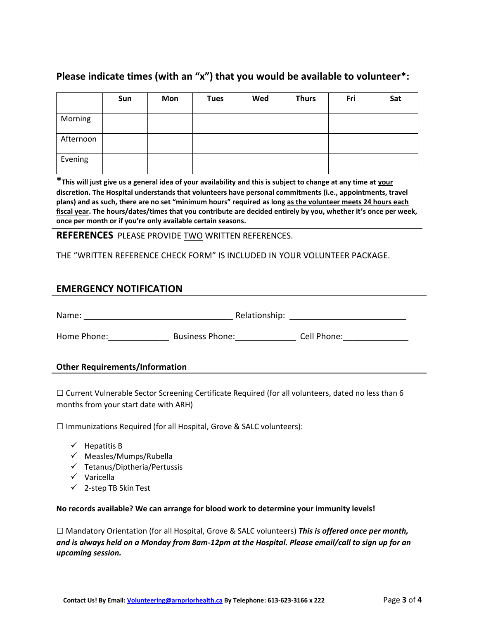# **Please indicate times (with an "x") that you would be available to volunteer\*:**

|           | Sun | Mon | <b>Tues</b> | Wed | <b>Thurs</b> | Fri | Sat |
|-----------|-----|-----|-------------|-----|--------------|-----|-----|
| Morning   |     |     |             |     |              |     |     |
| Afternoon |     |     |             |     |              |     |     |
| Evening   |     |     |             |     |              |     |     |

**\*This will just give us a general idea of your availability and this is subject to change at any time at your discretion. The Hospital understands that volunteers have personal commitments (i.e., appointments, travel plans) and as such, there are no set "minimum hours" required as long as the volunteer meets 24 hours each fiscal year. The hours/dates/times that you contribute are decided entirely by you, whether it's once per week, once per month or if you're only available certain seasons.**

## **REFERENCES** PLEASE PROVIDE TWO WRITTEN REFERENCES.

THE "WRITTEN REFERENCE CHECK FORM" IS INCLUDED IN YOUR VOLUNTEER PACKAGE.

# **EMERGENCY NOTIFICATION**

Name: \_\_\_\_\_\_\_\_\_\_\_\_\_\_\_\_\_\_\_\_\_\_\_\_\_\_\_\_\_\_\_\_ Relationship: \_\_\_\_\_\_\_\_\_\_\_\_\_\_\_\_\_\_\_\_\_\_\_\_\_

Home Phone: \_\_\_\_\_\_\_\_\_\_\_\_\_\_\_\_\_\_\_\_\_\_\_ Business Phone: \_\_\_\_\_\_\_\_\_\_\_\_\_\_\_\_\_\_\_\_\_\_\_\_\_\_\_\_<br>Cell Phone: \_\_\_\_\_\_\_\_\_\_\_\_\_\_\_\_\_\_\_\_\_\_ Business Phone: \_\_\_\_\_\_\_\_\_\_\_\_\_\_\_\_\_\_\_\_\_\_\_\_\_\_\_\_\_

#### **Other Requirements/Information**

 $\Box$  Current Vulnerable Sector Screening Certificate Required (for all volunteers, dated no less than 6 months from your start date with ARH)

 $\square$  Immunizations Required (for all Hospital, Grove & SALC volunteers):

- $\checkmark$  Hepatitis B
- ✓ Measles/Mumps/Rubella
- ✓ Tetanus/Diptheria/Pertussis
- ✓ Varicella
- ✓ 2-step TB Skin Test

#### **No records available? We can arrange for blood work to determine your immunity levels!**

□ Mandatory Orientation (for all Hospital, Grove & SALC volunteers) *This is offered once per month, and is always held on a Monday from 8am-12pm at the Hospital. Please email/call to sign up for an upcoming session.*